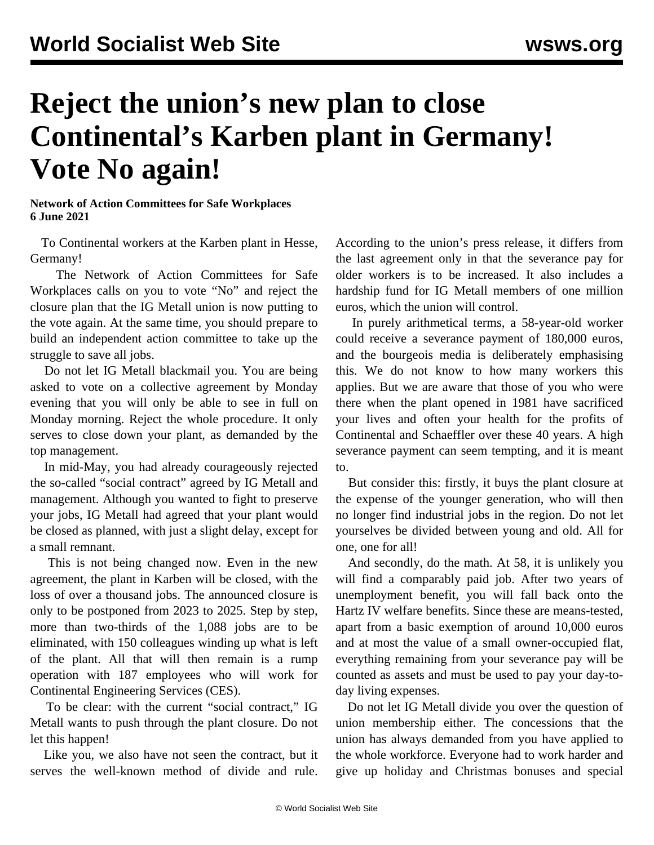## **Reject the union's new plan to close Continental's Karben plant in Germany! Vote No again!**

**Network of Action Committees for Safe Workplaces 6 June 2021**

 To Continental workers at the Karben plant in Hesse, Germany!

 The Network of Action Committees for Safe Workplaces calls on you to vote "No" and reject the closure plan that the IG Metall union is now putting to the vote again. At the same time, you should prepare to build an independent action committee to take up the struggle to save all jobs.

 Do not let IG Metall blackmail you. You are being asked to vote on a collective agreement by Monday evening that you will only be able to see in full on Monday morning. Reject the whole procedure. It only serves to close down your plant, as demanded by the top management.

 In mid-May, you had already courageously rejected the so-called "social contract" agreed by IG Metall and management. Although you wanted to fight to preserve your jobs, IG Metall had agreed that your plant would be closed as planned, with just a slight delay, except for a small remnant.

 This is not being changed now. Even in the new agreement, the plant in Karben will be closed, with the loss of over a thousand jobs. The announced closure is only to be postponed from 2023 to 2025. Step by step, more than two-thirds of the 1,088 jobs are to be eliminated, with 150 colleagues winding up what is left of the plant. All that will then remain is a rump operation with 187 employees who will work for Continental Engineering Services (CES).

 To be clear: with the current "social contract," IG Metall wants to push through the plant closure. Do not let this happen!

 Like you, we also have not seen the contract, but it serves the well-known method of divide and rule.

According to the union's press release, it differs from the last agreement only in that the severance pay for older workers is to be increased. It also includes a hardship fund for IG Metall members of one million euros, which the union will control.

 In purely arithmetical terms, a 58-year-old worker could receive a severance payment of 180,000 euros, and the bourgeois media is deliberately emphasising this. We do not know to how many workers this applies. But we are aware that those of you who were there when the plant opened in 1981 have sacrificed your lives and often your health for the profits of Continental and Schaeffler over these 40 years. A high severance payment can seem tempting, and it is meant to.

 But consider this: firstly, it buys the plant closure at the expense of the younger generation, who will then no longer find industrial jobs in the region. Do not let yourselves be divided between young and old. All for one, one for all!

 And secondly, do the math. At 58, it is unlikely you will find a comparably paid job. After two years of unemployment benefit, you will fall back onto the Hartz IV welfare benefits. Since these are means-tested, apart from a basic exemption of around 10,000 euros and at most the value of a small owner-occupied flat, everything remaining from your severance pay will be counted as assets and must be used to pay your day-today living expenses.

 Do not let IG Metall divide you over the question of union membership either. The concessions that the union has always demanded from you have applied to the whole workforce. Everyone had to work harder and give up holiday and Christmas bonuses and special